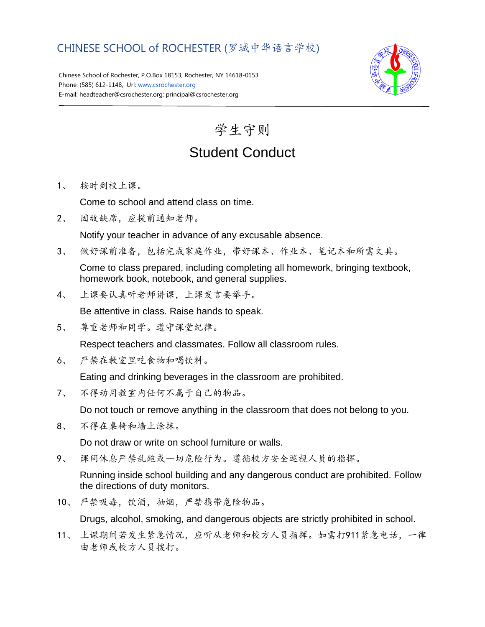## CHINESE SCHOOL of ROCHESTER (罗城中华语言学校)

Chinese School of Rochester, P.O.Box 18153, Rochester, NY 14618-0153 Phone: (585) 612-1148, Url[: www.csrochester.org](http://www.csrochester.org/) E-mail: headteacher@csrochester.org; principal@csrochester.org



学生守则 Student Conduct

1、 按时到校上课。

Come to school and attend class on time.

2、 因故缺席,应提前通知老师。

Notify your teacher in advance of any excusable absence.

3、 做好课前准备,包括完成家庭作业,带好课本、作业本、笔记本和所需文具。

Come to class prepared, including completing all homework, bringing textbook, homework book, notebook, and general supplies.

4、 上课要认真听老师讲课,上课发言要举手。

Be attentive in class. Raise hands to speak.

5、 尊重老师和同学。遵守课堂纪律。

Respect teachers and classmates. Follow all classroom rules.

6、 严禁在教室里吃食物和喝饮料。

Eating and drinking beverages in the classroom are prohibited.

7、 不得动用教室内任何不属于自己的物品。

Do not touch or remove anything in the classroom that does not belong to you.

8、 不得在桌椅和墙上涂抹。

Do not draw or write on school furniture or walls.

9、 课间休息严禁乱跑或一切危险行为。遵循校方安全巡视人员的指挥。

Running inside school building and any dangerous conduct are prohibited. Follow the directions of duty monitors.

10、 严禁吸毒,饮酒,抽烟,严禁携带危险物品。

Drugs, alcohol, smoking, and dangerous objects are strictly prohibited in school.

11、 上课期间若发生紧急情况,应听从老师和校方人员指挥。如需打911紧急电话,一律 由老师或校方人员拨打。